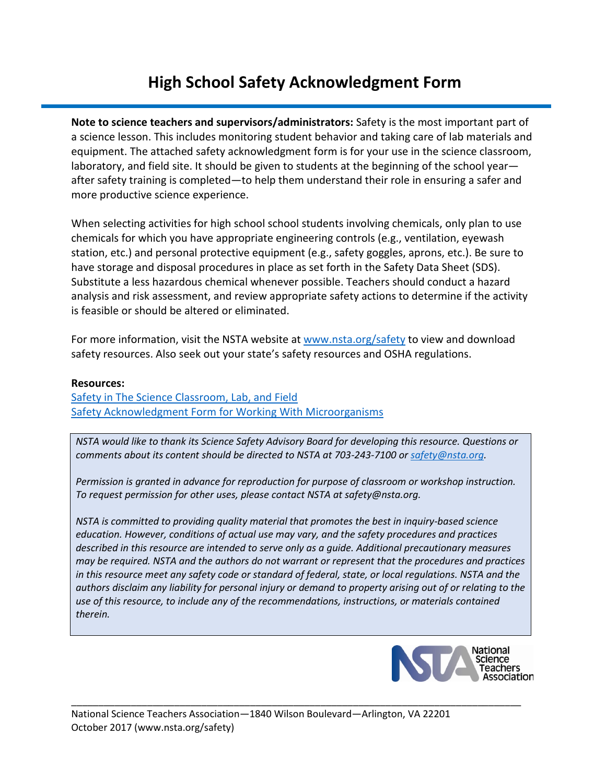## **High School Safety Acknowledgment Form**

**Note to science teachers and supervisors/administrators:** Safety is the most important part of a science lesson. This includes monitoring student behavior and taking care of lab materials and equipment. The attached safety acknowledgment form is for your use in the science classroom, laboratory, and field site. It should be given to students at the beginning of the school year after safety training is completed—to help them understand their role in ensuring a safer and more productive science experience.

When selecting activities for high school school students involving chemicals, only plan to use chemicals for which you have appropriate engineering controls (e.g., ventilation, eyewash station, etc.) and personal protective equipment (e.g., safety goggles, aprons, etc.). Be sure to have storage and disposal procedures in place as set forth in the Safety Data Sheet (SDS). Substitute a less hazardous chemical whenever possible. Teachers should conduct a hazard analysis and risk assessment, and review appropriate safety actions to determine if the activity is feasible or should be altered or eliminated.

For more information, visit the NSTA website at [www.nsta.org/safety](http://www.nsta.org/safety) to view and download safety resources. Also seek out your state's safety resources and OSHA regulations.

#### **Resources:**

[Safety in The Science Classroom, Lab, and Field](https://www.nsta.org/docs/SafetyInTheScienceClassroomLabAndField.pdf) [Safety Acknowledgment Form for Working With Microorganisms](http://www.nsta.org/docs/MicroorganismSafetyAcknowledgment20120507.pdf)

*NSTA would like to thank its Science Safety Advisory Board for developing this resource. Questions or comments about its content should be directed to NSTA at 703-243-7100 or [safety@nsta.org.](mailto:safety@nsta.org)*

*Permission is granted in advance for reproduction for purpose of classroom or workshop instruction. To request permission for other uses, please contact NSTA at safety@nsta.org.*

*NSTA is committed to providing quality material that promotes the best in inquiry-based science education. However, conditions of actual use may vary, and the safety procedures and practices described in this resource are intended to serve only as a guide. Additional precautionary measures may be required. NSTA and the authors do not warrant or represent that the procedures and practices in this resource meet any safety code or standard of federal, state, or local regulations. NSTA and the authors disclaim any liability for personal injury or demand to property arising out of or relating to the use of this resource, to include any of the recommendations, instructions, or materials contained therein.*

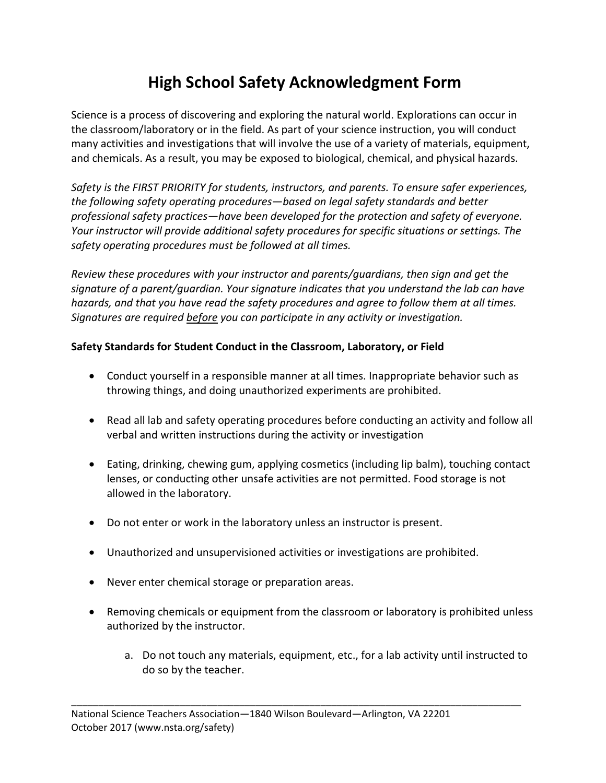# **High School Safety Acknowledgment Form**

Science is a process of discovering and exploring the natural world. Explorations can occur in the classroom/laboratory or in the field. As part of your science instruction, you will conduct many activities and investigations that will involve the use of a variety of materials, equipment, and chemicals. As a result, you may be exposed to biological, chemical, and physical hazards.

*Safety is the FIRST PRIORITY for students, instructors, and parents. To ensure safer experiences, the following safety operating procedures—based on legal safety standards and better professional safety practices—have been developed for the protection and safety of everyone. Your instructor will provide additional safety procedures for specific situations or settings. The safety operating procedures must be followed at all times.* 

*Review these procedures with your instructor and parents/guardians, then sign and get the signature of a parent/guardian. Your signature indicates that you understand the lab can have hazards, and that you have read the safety procedures and agree to follow them at all times. Signatures are required before you can participate in any activity or investigation.*

### **Safety Standards for Student Conduct in the Classroom, Laboratory, or Field**

- Conduct yourself in a responsible manner at all times. Inappropriate behavior such as throwing things, and doing unauthorized experiments are prohibited.
- Read all lab and safety operating procedures before conducting an activity and follow all verbal and written instructions during the activity or investigation
- Eating, drinking, chewing gum, applying cosmetics (including lip balm), touching contact lenses, or conducting other unsafe activities are not permitted. Food storage is not allowed in the laboratory.
- Do not enter or work in the laboratory unless an instructor is present.
- Unauthorized and unsupervisioned activities or investigations are prohibited.
- Never enter chemical storage or preparation areas.
- Removing chemicals or equipment from the classroom or laboratory is prohibited unless authorized by the instructor.

\_\_\_\_\_\_\_\_\_\_\_\_\_\_\_\_\_\_\_\_\_\_\_\_\_\_\_\_\_\_\_\_\_\_\_\_\_\_\_\_\_\_\_\_\_\_\_\_\_\_\_\_\_\_\_\_\_\_\_\_\_\_\_\_\_\_\_\_\_\_\_\_\_\_\_\_\_\_\_\_\_\_\_

a. Do not touch any materials, equipment, etc., for a lab activity until instructed to do so by the teacher.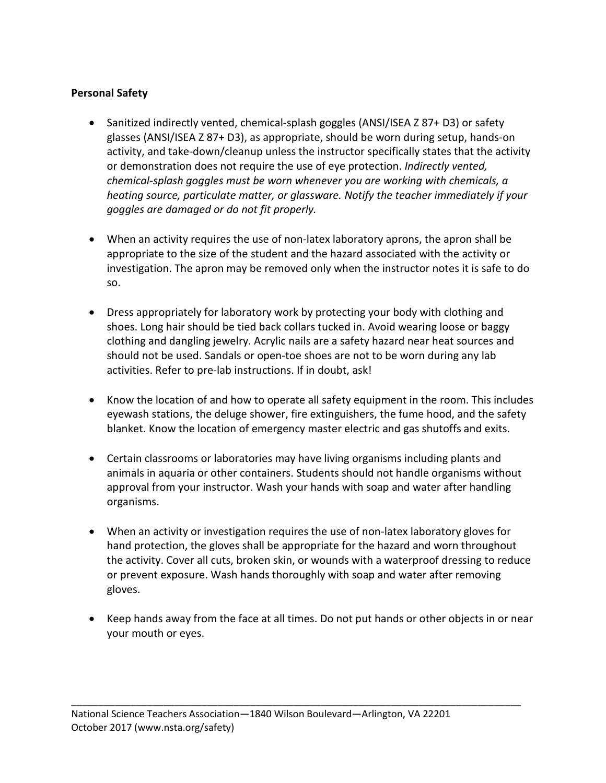#### **Personal Safety**

- Sanitized indirectly vented, chemical-splash goggles (ANSI/ISEA Z 87+ D3) or safety glasses (ANSI/ISEA Z 87+ D3), as appropriate, should be worn during setup, hands-on activity, and take-down/cleanup unless the instructor specifically states that the activity or demonstration does not require the use of eye protection. *Indirectly vented, chemical-splash goggles must be worn whenever you are working with chemicals, a heating source, particulate matter, or glassware. Notify the teacher immediately if your goggles are damaged or do not fit properly.*
- When an activity requires the use of non-latex laboratory aprons, the apron shall be appropriate to the size of the student and the hazard associated with the activity or investigation. The apron may be removed only when the instructor notes it is safe to do so.
- Dress appropriately for laboratory work by protecting your body with clothing and shoes. Long hair should be tied back collars tucked in. Avoid wearing loose or baggy clothing and dangling jewelry. Acrylic nails are a safety hazard near heat sources and should not be used. Sandals or open-toe shoes are not to be worn during any lab activities. Refer to pre-lab instructions. If in doubt, ask!
- Know the location of and how to operate all safety equipment in the room. This includes eyewash stations, the deluge shower, fire extinguishers, the fume hood, and the safety blanket. Know the location of emergency master electric and gas shutoffs and exits.
- Certain classrooms or laboratories may have living organisms including plants and animals in aquaria or other containers. Students should not handle organisms without approval from your instructor. Wash your hands with soap and water after handling organisms.
- When an activity or investigation requires the use of non-latex laboratory gloves for hand protection, the gloves shall be appropriate for the hazard and worn throughout the activity. Cover all cuts, broken skin, or wounds with a waterproof dressing to reduce or prevent exposure. Wash hands thoroughly with soap and water after removing gloves.
- Keep hands away from the face at all times. Do not put hands or other objects in or near your mouth or eyes.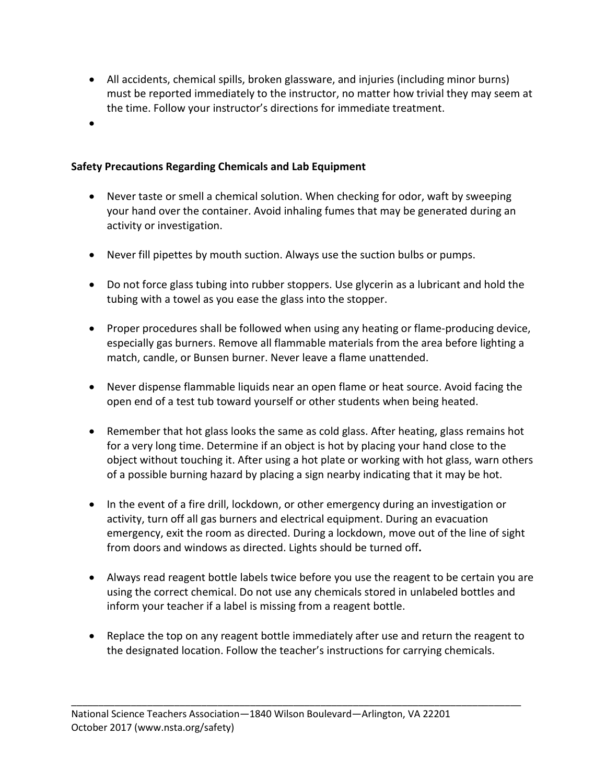- All accidents, chemical spills, broken glassware, and injuries (including minor burns) must be reported immediately to the instructor, no matter how trivial they may seem at the time. Follow your instructor's directions for immediate treatment.
- •

### **Safety Precautions Regarding Chemicals and Lab Equipment**

- Never taste or smell a chemical solution. When checking for odor, waft by sweeping your hand over the container. Avoid inhaling fumes that may be generated during an activity or investigation.
- Never fill pipettes by mouth suction. Always use the suction bulbs or pumps.
- Do not force glass tubing into rubber stoppers. Use glycerin as a lubricant and hold the tubing with a towel as you ease the glass into the stopper.
- Proper procedures shall be followed when using any heating or flame-producing device, especially gas burners. Remove all flammable materials from the area before lighting a match, candle, or Bunsen burner. Never leave a flame unattended.
- Never dispense flammable liquids near an open flame or heat source. Avoid facing the open end of a test tub toward yourself or other students when being heated.
- Remember that hot glass looks the same as cold glass. After heating, glass remains hot for a very long time. Determine if an object is hot by placing your hand close to the object without touching it. After using a hot plate or working with hot glass, warn others of a possible burning hazard by placing a sign nearby indicating that it may be hot.
- In the event of a fire drill, lockdown, or other emergency during an investigation or activity, turn off all gas burners and electrical equipment. During an evacuation emergency, exit the room as directed. During a lockdown, move out of the line of sight from doors and windows as directed. Lights should be turned off**.**
- Always read reagent bottle labels twice before you use the reagent to be certain you are using the correct chemical. Do not use any chemicals stored in unlabeled bottles and inform your teacher if a label is missing from a reagent bottle.
- Replace the top on any reagent bottle immediately after use and return the reagent to the designated location. Follow the teacher's instructions for carrying chemicals.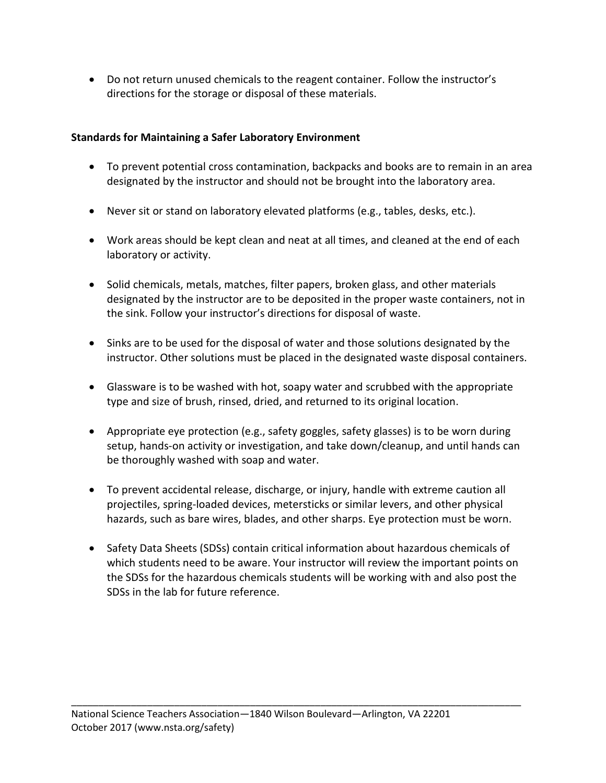• Do not return unused chemicals to the reagent container. Follow the instructor's directions for the storage or disposal of these materials.

### **Standards for Maintaining a Safer Laboratory Environment**

- To prevent potential cross contamination, backpacks and books are to remain in an area designated by the instructor and should not be brought into the laboratory area.
- Never sit or stand on laboratory elevated platforms (e.g., tables, desks, etc.).
- Work areas should be kept clean and neat at all times, and cleaned at the end of each laboratory or activity.
- Solid chemicals, metals, matches, filter papers, broken glass, and other materials designated by the instructor are to be deposited in the proper waste containers, not in the sink. Follow your instructor's directions for disposal of waste.
- Sinks are to be used for the disposal of water and those solutions designated by the instructor. Other solutions must be placed in the designated waste disposal containers.
- Glassware is to be washed with hot, soapy water and scrubbed with the appropriate type and size of brush, rinsed, dried, and returned to its original location.
- Appropriate eye protection (e.g., safety goggles, safety glasses) is to be worn during setup, hands-on activity or investigation, and take down/cleanup, and until hands can be thoroughly washed with soap and water.
- To prevent accidental release, discharge, or injury, handle with extreme caution all projectiles, spring-loaded devices, metersticks or similar levers, and other physical hazards, such as bare wires, blades, and other sharps. Eye protection must be worn.
- Safety Data Sheets (SDSs) contain critical information about hazardous chemicals of which students need to be aware. Your instructor will review the important points on the SDSs for the hazardous chemicals students will be working with and also post the SDSs in the lab for future reference.